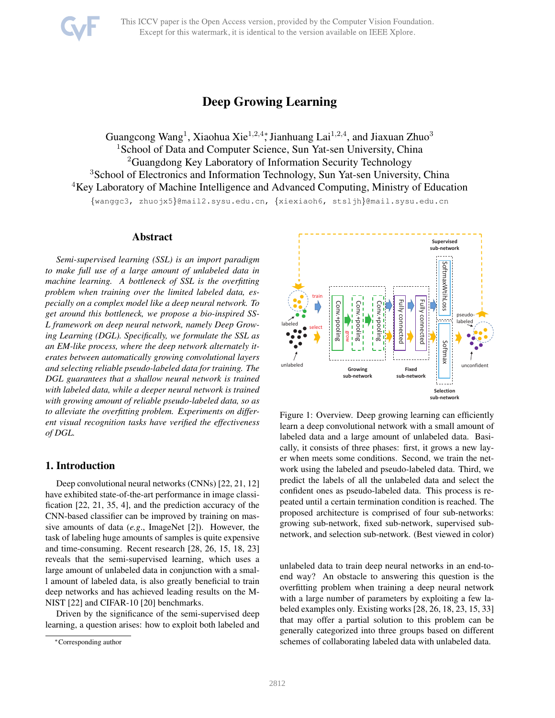

# Deep Growing Learning

Guangcong Wang<sup>1</sup>, Xiaohua Xie<sup>1,2,4</sup>\*, Jianhuang Lai<sup>1,2,4</sup>, and Jiaxuan Zhuo<sup>3</sup> <sup>1</sup> School of Data and Computer Science, Sun Yat-sen University, China <sup>2</sup>Guangdong Key Laboratory of Information Security Technology <sup>3</sup>School of Electronics and Information Technology, Sun Yat-sen University, China <sup>4</sup>Key Laboratory of Machine Intelligence and Advanced Computing, Ministry of Education {wanggc3, zhuojx5}@mail2.sysu.edu.cn, {xiexiaoh6, stsljh}@mail.sysu.edu.cn

### Abstract

*Semi-supervised learning (SSL) is an import paradigm to make full use of a large amount of unlabeled data in machine learning. A bottleneck of SSL is the overfitting problem when training over the limited labeled data, especially on a complex model like a deep neural network. To get around this bottleneck, we propose a bio-inspired SS-L framework on deep neural network, namely Deep Growing Learning (DGL). Specifically, we formulate the SSL as an EM-like process, where the deep network alternately iterates between automatically growing convolutional layers and selecting reliable pseudo-labeled data for training. The DGL guarantees that a shallow neural network is trained with labeled data, while a deeper neural network is trained with growing amount of reliable pseudo-labeled data, so as to alleviate the overfitting problem. Experiments on different visual recognition tasks have verified the effectiveness of DGL.*

# 1. Introduction

Deep convolutional neural networks (CNNs) [22, 21, 12] have exhibited state-of-the-art performance in image classification [22, 21, 35, 4], and the prediction accuracy of the CNN-based classifier can be improved by training on massive amounts of data (*e.g*., ImageNet [2]). However, the task of labeling huge amounts of samples is quite expensive and time-consuming. Recent research [28, 26, 15, 18, 23] reveals that the semi-supervised learning, which uses a large amount of unlabeled data in conjunction with a small amount of labeled data, is also greatly beneficial to train deep networks and has achieved leading results on the M-NIST [22] and CIFAR-10 [20] benchmarks.

Driven by the significance of the semi-supervised deep learning, a question arises: how to exploit both labeled and



Figure 1: Overview. Deep growing learning can efficiently learn a deep convolutional network with a small amount of labeled data and a large amount of unlabeled data. Basically, it consists of three phases: first, it grows a new layer when meets some conditions. Second, we train the network using the labeled and pseudo-labeled data. Third, we predict the labels of all the unlabeled data and select the confident ones as pseudo-labeled data. This process is repeated until a certain termination condition is reached. The proposed architecture is comprised of four sub-networks: growing sub-network, fixed sub-network, supervised subnetwork, and selection sub-network. (Best viewed in color)

unlabeled data to train deep neural networks in an end-toend way? An obstacle to answering this question is the overfitting problem when training a deep neural network with a large number of parameters by exploiting a few labeled examples only. Existing works [28, 26, 18, 23, 15, 33] that may offer a partial solution to this problem can be generally categorized into three groups based on different schemes of collaborating labeled data with unlabeled data.

<sup>∗</sup>Corresponding author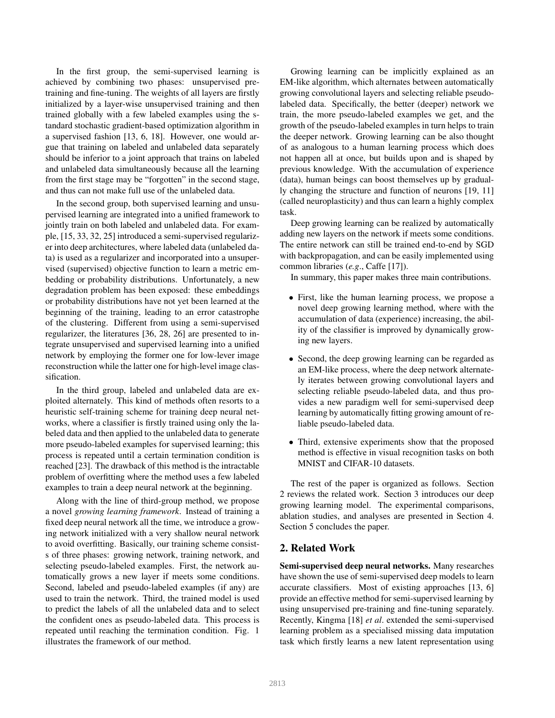In the first group, the semi-supervised learning is achieved by combining two phases: unsupervised pretraining and fine-tuning. The weights of all layers are firstly initialized by a layer-wise unsupervised training and then trained globally with a few labeled examples using the standard stochastic gradient-based optimization algorithm in a supervised fashion [13, 6, 18]. However, one would argue that training on labeled and unlabeled data separately should be inferior to a joint approach that trains on labeled and unlabeled data simultaneously because all the learning from the first stage may be "forgotten" in the second stage, and thus can not make full use of the unlabeled data.

In the second group, both supervised learning and unsupervised learning are integrated into a unified framework to jointly train on both labeled and unlabeled data. For example, [15, 33, 32, 25] introduced a semi-supervised regularizer into deep architectures, where labeled data (unlabeled data) is used as a regularizer and incorporated into a unsupervised (supervised) objective function to learn a metric embedding or probability distributions. Unfortunately, a new degradation problem has been exposed: these embeddings or probability distributions have not yet been learned at the beginning of the training, leading to an error catastrophe of the clustering. Different from using a semi-supervised regularizer, the literatures [36, 28, 26] are presented to integrate unsupervised and supervised learning into a unified network by employing the former one for low-lever image reconstruction while the latter one for high-level image classification.

In the third group, labeled and unlabeled data are exploited alternately. This kind of methods often resorts to a heuristic self-training scheme for training deep neural networks, where a classifier is firstly trained using only the labeled data and then applied to the unlabeled data to generate more pseudo-labeled examples for supervised learning; this process is repeated until a certain termination condition is reached [23]. The drawback of this method is the intractable problem of overfitting where the method uses a few labeled examples to train a deep neural network at the beginning.

Along with the line of third-group method, we propose a novel *growing learning framework*. Instead of training a fixed deep neural network all the time, we introduce a growing network initialized with a very shallow neural network to avoid overfitting. Basically, our training scheme consists of three phases: growing network, training network, and selecting pseudo-labeled examples. First, the network automatically grows a new layer if meets some conditions. Second, labeled and pseudo-labeled examples (if any) are used to train the network. Third, the trained model is used to predict the labels of all the unlabeled data and to select the confident ones as pseudo-labeled data. This process is repeated until reaching the termination condition. Fig. 1 illustrates the framework of our method.

Growing learning can be implicitly explained as an EM-like algorithm, which alternates between automatically growing convolutional layers and selecting reliable pseudolabeled data. Specifically, the better (deeper) network we train, the more pseudo-labeled examples we get, and the growth of the pseudo-labeled examples in turn helps to train the deeper network. Growing learning can be also thought of as analogous to a human learning process which does not happen all at once, but builds upon and is shaped by previous knowledge. With the accumulation of experience (data), human beings can boost themselves up by gradually changing the structure and function of neurons [19, 11] (called neuroplasticity) and thus can learn a highly complex task.

Deep growing learning can be realized by automatically adding new layers on the network if meets some conditions. The entire network can still be trained end-to-end by SGD with backpropagation, and can be easily implemented using common libraries (*e.g*., Caffe [17]).

In summary, this paper makes three main contributions.

- First, like the human learning process, we propose a novel deep growing learning method, where with the accumulation of data (experience) increasing, the ability of the classifier is improved by dynamically growing new layers.
- Second, the deep growing learning can be regarded as an EM-like process, where the deep network alternately iterates between growing convolutional layers and selecting reliable pseudo-labeled data, and thus provides a new paradigm well for semi-supervised deep learning by automatically fitting growing amount of reliable pseudo-labeled data.
- Third, extensive experiments show that the proposed method is effective in visual recognition tasks on both MNIST and CIFAR-10 datasets.

The rest of the paper is organized as follows. Section 2 reviews the related work. Section 3 introduces our deep growing learning model. The experimental comparisons, ablation studies, and analyses are presented in Section 4. Section 5 concludes the paper.

# 2. Related Work

Semi-supervised deep neural networks. Many researches have shown the use of semi-supervised deep models to learn accurate classifiers. Most of existing approaches [13, 6] provide an effective method for semi-supervised learning by using unsupervised pre-training and fine-tuning separately. Recently, Kingma [18] *et al*. extended the semi-supervised learning problem as a specialised missing data imputation task which firstly learns a new latent representation using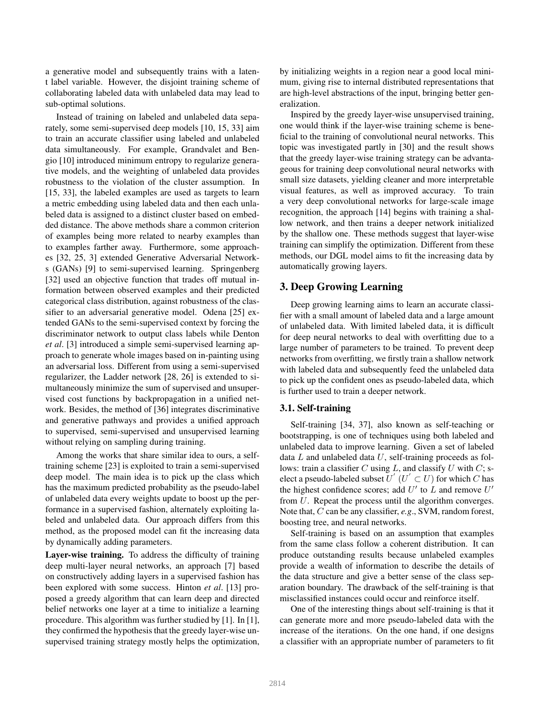a generative model and subsequently trains with a latent label variable. However, the disjoint training scheme of collaborating labeled data with unlabeled data may lead to sub-optimal solutions.

Instead of training on labeled and unlabeled data separately, some semi-supervised deep models [10, 15, 33] aim to train an accurate classifier using labeled and unlabeled data simultaneously. For example, Grandvalet and Bengio [10] introduced minimum entropy to regularize generative models, and the weighting of unlabeled data provides robustness to the violation of the cluster assumption. In [15, 33], the labeled examples are used as targets to learn a metric embedding using labeled data and then each unlabeled data is assigned to a distinct cluster based on embedded distance. The above methods share a common criterion of examples being more related to nearby examples than to examples farther away. Furthermore, some approaches [32, 25, 3] extended Generative Adversarial Networks (GANs) [9] to semi-supervised learning. Springenberg [32] used an objective function that trades off mutual information between observed examples and their predicted categorical class distribution, against robustness of the classifier to an adversarial generative model. Odena [25] extended GANs to the semi-supervised context by forcing the discriminator network to output class labels while Denton *et al*. [3] introduced a simple semi-supervised learning approach to generate whole images based on in-painting using an adversarial loss. Different from using a semi-supervised regularizer, the Ladder network [28, 26] is extended to simultaneously minimize the sum of supervised and unsupervised cost functions by backpropagation in a unified network. Besides, the method of [36] integrates discriminative and generative pathways and provides a unified approach to supervised, semi-supervised and unsupervised learning without relying on sampling during training.

Among the works that share similar idea to ours, a selftraining scheme [23] is exploited to train a semi-supervised deep model. The main idea is to pick up the class which has the maximum predicted probability as the pseudo-label of unlabeled data every weights update to boost up the performance in a supervised fashion, alternately exploiting labeled and unlabeled data. Our approach differs from this method, as the proposed model can fit the increasing data by dynamically adding parameters.

Layer-wise training. To address the difficulty of training deep multi-layer neural networks, an approach [7] based on constructively adding layers in a supervised fashion has been explored with some success. Hinton *et al*. [13] proposed a greedy algorithm that can learn deep and directed belief networks one layer at a time to initialize a learning procedure. This algorithm was further studied by [1]. In [1], they confirmed the hypothesis that the greedy layer-wise unsupervised training strategy mostly helps the optimization, by initializing weights in a region near a good local minimum, giving rise to internal distributed representations that are high-level abstractions of the input, bringing better generalization.

Inspired by the greedy layer-wise unsupervised training, one would think if the layer-wise training scheme is beneficial to the training of convolutional neural networks. This topic was investigated partly in [30] and the result shows that the greedy layer-wise training strategy can be advantageous for training deep convolutional neural networks with small size datasets, yielding cleaner and more interpretable visual features, as well as improved accuracy. To train a very deep convolutional networks for large-scale image recognition, the approach [14] begins with training a shallow network, and then trains a deeper network initialized by the shallow one. These methods suggest that layer-wise training can simplify the optimization. Different from these methods, our DGL model aims to fit the increasing data by automatically growing layers.

## 3. Deep Growing Learning

Deep growing learning aims to learn an accurate classifier with a small amount of labeled data and a large amount of unlabeled data. With limited labeled data, it is difficult for deep neural networks to deal with overfitting due to a large number of parameters to be trained. To prevent deep networks from overfitting, we firstly train a shallow network with labeled data and subsequently feed the unlabeled data to pick up the confident ones as pseudo-labeled data, which is further used to train a deeper network.

### 3.1. Self-training

Self-training [34, 37], also known as self-teaching or bootstrapping, is one of techniques using both labeled and unlabeled data to improve learning. Given a set of labeled data  $L$  and unlabeled data  $U$ , self-training proceeds as follows: train a classifier C using L, and classify U with  $C$ ; select a pseudo-labeled subset  $\overline{U}'$   $(U' \subset U)$  for which C has the highest confidence scores; add  $U'$  to  $\overline{L}$  and remove  $U'$ from U. Repeat the process until the algorithm converges. Note that, C can be any classifier, *e.g*., SVM, random forest, boosting tree, and neural networks.

Self-training is based on an assumption that examples from the same class follow a coherent distribution. It can produce outstanding results because unlabeled examples provide a wealth of information to describe the details of the data structure and give a better sense of the class separation boundary. The drawback of the self-training is that misclassified instances could occur and reinforce itself.

One of the interesting things about self-training is that it can generate more and more pseudo-labeled data with the increase of the iterations. On the one hand, if one designs a classifier with an appropriate number of parameters to fit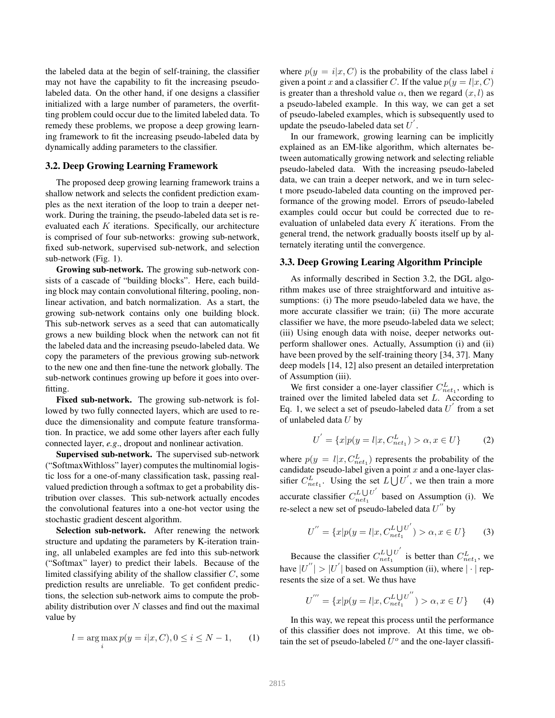the labeled data at the begin of self-training, the classifier may not have the capability to fit the increasing pseudolabeled data. On the other hand, if one designs a classifier initialized with a large number of parameters, the overfitting problem could occur due to the limited labeled data. To remedy these problems, we propose a deep growing learning framework to fit the increasing pseudo-labeled data by dynamically adding parameters to the classifier.

#### 3.2. Deep Growing Learning Framework

The proposed deep growing learning framework trains a shallow network and selects the confident prediction examples as the next iteration of the loop to train a deeper network. During the training, the pseudo-labeled data set is reevaluated each K iterations. Specifically, our architecture is comprised of four sub-networks: growing sub-network, fixed sub-network, supervised sub-network, and selection sub-network (Fig. 1).

Growing sub-network. The growing sub-network consists of a cascade of "building blocks". Here, each building block may contain convolutional filtering, pooling, nonlinear activation, and batch normalization. As a start, the growing sub-network contains only one building block. This sub-network serves as a seed that can automatically grows a new building block when the network can not fit the labeled data and the increasing pseudo-labeled data. We copy the parameters of the previous growing sub-network to the new one and then fine-tune the network globally. The sub-network continues growing up before it goes into overfitting.

Fixed sub-network. The growing sub-network is followed by two fully connected layers, which are used to reduce the dimensionality and compute feature transformation. In practice, we add some other layers after each fully connected layer, *e.g*., dropout and nonlinear activation.

Supervised sub-network. The supervised sub-network ("SoftmaxWithloss" layer) computes the multinomial logistic loss for a one-of-many classification task, passing realvalued prediction through a softmax to get a probability distribution over classes. This sub-network actually encodes the convolutional features into a one-hot vector using the stochastic gradient descent algorithm.

Selection sub-network. After renewing the network structure and updating the parameters by K-iteration training, all unlabeled examples are fed into this sub-network ("Softmax" layer) to predict their labels. Because of the limited classifying ability of the shallow classifier  $C$ , some prediction results are unreliable. To get confident predictions, the selection sub-network aims to compute the probability distribution over  $N$  classes and find out the maximal value by

$$
l = \arg\max_{i} p(y = i|x, C), 0 \le i \le N - 1,
$$
 (1)

where  $p(y = i|x, C)$  is the probability of the class label i given a point x and a classifier C. If the value  $p(y = l|x, C)$ is greater than a threshold value  $\alpha$ , then we regard  $(x, l)$  as a pseudo-labeled example. In this way, we can get a set of pseudo-labeled examples, which is subsequently used to update the pseudo-labeled data set  $U'$ .

In our framework, growing learning can be implicitly explained as an EM-like algorithm, which alternates between automatically growing network and selecting reliable pseudo-labeled data. With the increasing pseudo-labeled data, we can train a deeper network, and we in turn select more pseudo-labeled data counting on the improved performance of the growing model. Errors of pseudo-labeled examples could occur but could be corrected due to reevaluation of unlabeled data every  $K$  iterations. From the general trend, the network gradually boosts itself up by alternately iterating until the convergence.

#### 3.3. Deep Growing Learing Algorithm Principle

As informally described in Section 3.2, the DGL algorithm makes use of three straightforward and intuitive assumptions: (i) The more pseudo-labeled data we have, the more accurate classifier we train; (ii) The more accurate classifier we have, the more pseudo-labeled data we select; (iii) Using enough data with noise, deeper networks outperform shallower ones. Actually, Assumption (i) and (ii) have been proved by the self-training theory [34, 37]. Many deep models [14, 12] also present an detailed interpretation of Assumption (iii).

We first consider a one-layer classifier  $C_{net_1}^L$ , which is trained over the limited labeled data set L. According to Eq. 1, we select a set of pseudo-labeled data  $U'$  from a set of unlabeled data  $U$  by

$$
U^{'} = \{x|p(y=l|x, C_{net_1}^L) > \alpha, x \in U\}
$$
 (2)

where  $p(y = l|x, C_{net_1}^L)$  represents the probability of the candidate pseudo-label given a point  $x$  and a one-layer classifier  $C_{net_1}^L$ . Using the set  $L \bigcup U'$ , we then train a more accurate classifier  $C_{net_1}^{L \cup U'}$  $\begin{bmatrix} L & L & L \\ n & L & L \end{bmatrix}$  based on Assumption (i). We re-select a new set of pseudo-labeled data  $U''$  by

$$
U'' = \{x|p(y=l|x, C_{net_1}^{L}U') > \alpha, x \in U\}
$$
 (3)

Because the classifier  $C_{net_1}^{L \bigcup U'}$  $\begin{bmatrix} L & L & L \\ n & e & i \end{bmatrix}$  is better than  $C_{net_1}^L$ , we have  $|U''| > |U'|$  based on Assumption (ii), where  $|\cdot|$  represents the size of a set. We thus have

$$
U''' = \{x|p(y=l|x, C_{net_1}^{L}U^{U''}) > \alpha, x \in U\}
$$
 (4)

In this way, we repeat this process until the performance of this classifier does not improve. At this time, we obtain the set of pseudo-labeled  $U^o$  and the one-layer classifi-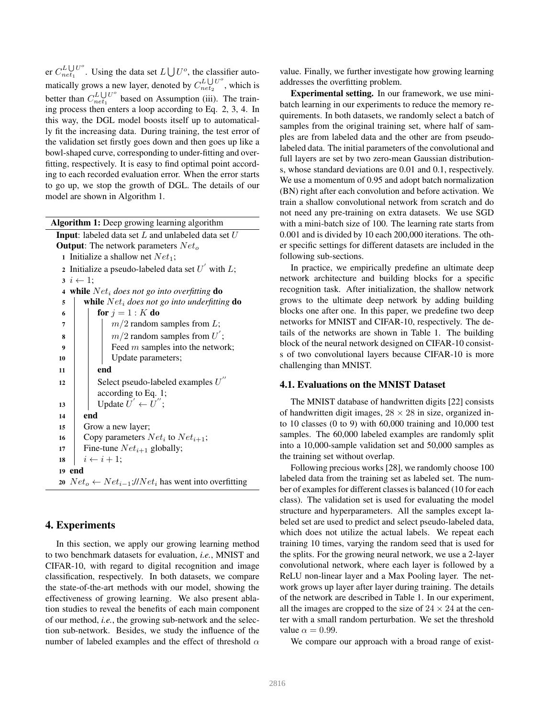er  $C_{net_1}^{L \bigcup U^o}$  $L^L \cup U^{\circ}$ . Using the data set  $L \cup U^{\circ}$ , the classifier automatically grows a new layer, denoted by  $C_{net_2}^{L \bigcup U^{\circ}}$  $\frac{1}{net_2}^{\omega}$ , which is better than  $C_{net_1}^{L}U^{U^o}$  $\frac{n}{net_1}$  based on Assumption (iii). The training process then enters a loop according to Eq. 2, 3, 4. In this way, the DGL model boosts itself up to automatically fit the increasing data. During training, the test error of the validation set firstly goes down and then goes up like a bowl-shaped curve, corresponding to under-fitting and overfitting, respectively. It is easy to find optimal point according to each recorded evaluation error. When the error starts to go up, we stop the growth of DGL. The details of our model are shown in Algorithm 1.

|                                                                               | Algorithm 1: Deep growing learning algorithm    |  |  |
|-------------------------------------------------------------------------------|-------------------------------------------------|--|--|
| <b>Input:</b> labeled data set $L$ and unlabeled data set $U$                 |                                                 |  |  |
| <b>Output:</b> The network parameters $Neto$                                  |                                                 |  |  |
| 1 Initialize a shallow net $Net_1$ ;                                          |                                                 |  |  |
| 2 Initialize a pseudo-labeled data set $U'$ with $L$ ;                        |                                                 |  |  |
|                                                                               | $3\ i\leftarrow 1$ :                            |  |  |
|                                                                               | 4 while $Net_i$ does not go into overfitting do |  |  |
| 5                                                                             | while $Net_i$ does not go into underfitting do  |  |  |
| 6                                                                             | for $j = 1 : K$ do                              |  |  |
| 7                                                                             | $m/2$ random samples from L;                    |  |  |
| 8                                                                             | $m/2$ random samples from $U'$ ;                |  |  |
| $\boldsymbol{9}$                                                              | Feed $m$ samples into the network;              |  |  |
| 10                                                                            | Update parameters;                              |  |  |
| 11                                                                            | end                                             |  |  |
| 12                                                                            | Select pseudo-labeled examples $U''$            |  |  |
|                                                                               | according to Eq. 1;                             |  |  |
| 13                                                                            | Update $U' \leftarrow U''$ ;                    |  |  |
| 14                                                                            | end                                             |  |  |
| 15                                                                            | Grow a new layer;                               |  |  |
| 16                                                                            | Copy parameters $Net_i$ to $Net_{i+1}$ ;        |  |  |
| 17                                                                            | Fine-tune $Net_{i+1}$ globally;                 |  |  |
| 18                                                                            | $i \leftarrow i + 1;$                           |  |  |
| 19 end                                                                        |                                                 |  |  |
| 20 $Net_o \leftarrow Net_{i-1}$ ;//Net <sub>i</sub> has went into overfitting |                                                 |  |  |
|                                                                               |                                                 |  |  |

# 4. Experiments

In this section, we apply our growing learning method to two benchmark datasets for evaluation, *i.e.*, MNIST and CIFAR-10, with regard to digital recognition and image classification, respectively. In both datasets, we compare the state-of-the-art methods with our model, showing the effectiveness of growing learning. We also present ablation studies to reveal the benefits of each main component of our method, *i.e.*, the growing sub-network and the selection sub-network. Besides, we study the influence of the number of labeled examples and the effect of threshold  $\alpha$ 

value. Finally, we further investigate how growing learning addresses the overfitting problem.

Experimental setting. In our framework, we use minibatch learning in our experiments to reduce the memory requirements. In both datasets, we randomly select a batch of samples from the original training set, where half of samples are from labeled data and the other are from pseudolabeled data. The initial parameters of the convolutional and full layers are set by two zero-mean Gaussian distributions, whose standard deviations are 0.01 and 0.1, respectively. We use a momentum of 0.95 and adopt batch normalization (BN) right after each convolution and before activation. We train a shallow convolutional network from scratch and do not need any pre-training on extra datasets. We use SGD with a mini-batch size of 100. The learning rate starts from 0.001 and is divided by 10 each 200,000 iterations. The other specific settings for different datasets are included in the following sub-sections.

In practice, we empirically predefine an ultimate deep network architecture and building blocks for a specific recognition task. After initialization, the shallow network grows to the ultimate deep network by adding building blocks one after one. In this paper, we predefine two deep networks for MNIST and CIFAR-10, respectively. The details of the networks are shown in Table 1. The building block of the neural network designed on CIFAR-10 consists of two convolutional layers because CIFAR-10 is more challenging than MNIST.

### 4.1. Evaluations on the MNIST Dataset

The MNIST database of handwritten digits [22] consists of handwritten digit images,  $28 \times 28$  in size, organized into 10 classes (0 to 9) with 60,000 training and 10,000 test samples. The 60,000 labeled examples are randomly split into a 10,000-sample validation set and 50,000 samples as the training set without overlap.

Following precious works [28], we randomly choose 100 labeled data from the training set as labeled set. The number of examples for different classes is balanced (10 for each class). The validation set is used for evaluating the model structure and hyperparameters. All the samples except labeled set are used to predict and select pseudo-labeled data, which does not utilize the actual labels. We repeat each training 10 times, varying the random seed that is used for the splits. For the growing neural network, we use a 2-layer convolutional network, where each layer is followed by a ReLU non-linear layer and a Max Pooling layer. The network grows up layer after layer during training. The details of the network are described in Table 1. In our experiment, all the images are cropped to the size of  $24 \times 24$  at the center with a small random perturbation. We set the threshold value  $\alpha = 0.99$ .

We compare our approach with a broad range of exist-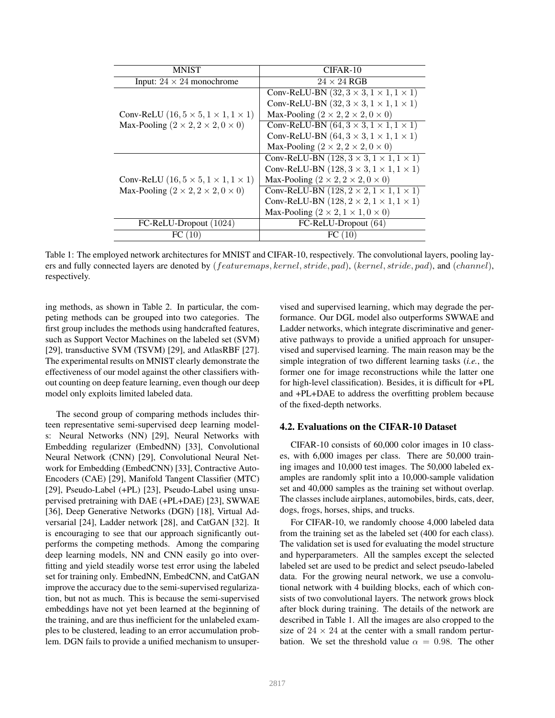| MNIST                                                | $CIFAR-10$                                               |
|------------------------------------------------------|----------------------------------------------------------|
| Input: $24 \times 24$ monochrome                     | $24 \times 24$ RGB                                       |
|                                                      | Conv-ReLU-BN $(32, 3 \times 3, 1 \times 1, 1 \times 1)$  |
|                                                      | Conv-ReLU-BN $(32, 3 \times 3, 1 \times 1, 1 \times 1)$  |
| Conv-ReLU $(16, 5 \times 5, 1 \times 1, 1 \times 1)$ | Max-Pooling $(2 \times 2, 2 \times 2, 0 \times 0)$       |
| Max-Pooling $(2 \times 2, 2 \times 2, 0 \times 0)$   | Conv-ReLU-BN $(64, 3 \times 3, 1 \times 1, 1 \times 1)$  |
|                                                      | Conv-ReLU-BN $(64, 3 \times 3, 1 \times 1, 1 \times 1)$  |
|                                                      | Max-Pooling $(2 \times 2, 2 \times 2, 0 \times 0)$       |
|                                                      | Conv-ReLU-BN $(128, 3 \times 3, 1 \times 1, 1 \times 1)$ |
|                                                      | Conv-ReLU-BN $(128, 3 \times 3, 1 \times 1, 1 \times 1)$ |
| Conv-ReLU $(16, 5 \times 5, 1 \times 1, 1 \times 1)$ | Max-Pooling $(2 \times 2, 2 \times 2, 0 \times 0)$       |
| Max-Pooling $(2 \times 2, 2 \times 2, 0 \times 0)$   | Conv-ReLU-BN $(128, 2 \times 2, 1 \times 1, 1 \times 1)$ |
|                                                      | Conv-ReLU-BN $(128, 2 \times 2, 1 \times 1, 1 \times 1)$ |
|                                                      | Max-Pooling $(2 \times 2, 1 \times 1, 0 \times 0)$       |
| FC-ReLU-Dropout (1024)                               | FC-ReLU-Dropout (64)                                     |
| FC<br>10                                             | FC.<br>(10)                                              |

Table 1: The employed network architectures for MNIST and CIFAR-10, respectively. The convolutional layers, pooling layers and fully connected layers are denoted by (*featuremaps, kernel, stride, pad*), (*kernel, stride, pad*), and (*channel*), respectively.

ing methods, as shown in Table 2. In particular, the competing methods can be grouped into two categories. The first group includes the methods using handcrafted features, such as Support Vector Machines on the labeled set (SVM) [29], transductive SVM (TSVM) [29], and AtlasRBF [27]. The experimental results on MNIST clearly demonstrate the effectiveness of our model against the other classifiers without counting on deep feature learning, even though our deep model only exploits limited labeled data.

The second group of comparing methods includes thirteen representative semi-supervised deep learning models: Neural Networks (NN) [29], Neural Networks with Embedding regularizer (EmbedNN) [33], Convolutional Neural Network (CNN) [29], Convolutional Neural Network for Embedding (EmbedCNN) [33], Contractive Auto-Encoders (CAE) [29], Manifold Tangent Classifier (MTC) [29], Pseudo-Label (+PL) [23], Pseudo-Label using unsupervised pretraining with DAE (+PL+DAE) [23], SWWAE [36], Deep Generative Networks (DGN) [18], Virtual Adversarial [24], Ladder network [28], and CatGAN [32]. It is encouraging to see that our approach significantly outperforms the competing methods. Among the comparing deep learning models, NN and CNN easily go into overfitting and yield steadily worse test error using the labeled set for training only. EmbedNN, EmbedCNN, and CatGAN improve the accuracy due to the semi-supervised regularization, but not as much. This is because the semi-supervised embeddings have not yet been learned at the beginning of the training, and are thus inefficient for the unlabeled examples to be clustered, leading to an error accumulation problem. DGN fails to provide a unified mechanism to unsupervised and supervised learning, which may degrade the performance. Our DGL model also outperforms SWWAE and Ladder networks, which integrate discriminative and generative pathways to provide a unified approach for unsupervised and supervised learning. The main reason may be the simple integration of two different learning tasks (*i.e.*, the former one for image reconstructions while the latter one for high-level classification). Besides, it is difficult for +PL and +PL+DAE to address the overfitting problem because of the fixed-depth networks.

### 4.2. Evaluations on the CIFAR-10 Dataset

CIFAR-10 consists of 60,000 color images in 10 classes, with 6,000 images per class. There are 50,000 training images and 10,000 test images. The 50,000 labeled examples are randomly split into a 10,000-sample validation set and 40,000 samples as the training set without overlap. The classes include airplanes, automobiles, birds, cats, deer, dogs, frogs, horses, ships, and trucks.

For CIFAR-10, we randomly choose 4,000 labeled data from the training set as the labeled set (400 for each class). The validation set is used for evaluating the model structure and hyperparameters. All the samples except the selected labeled set are used to be predict and select pseudo-labeled data. For the growing neural network, we use a convolutional network with 4 building blocks, each of which consists of two convolutional layers. The network grows block after block during training. The details of the network are described in Table 1. All the images are also cropped to the size of  $24 \times 24$  at the center with a small random perturbation. We set the threshold value  $\alpha = 0.98$ . The other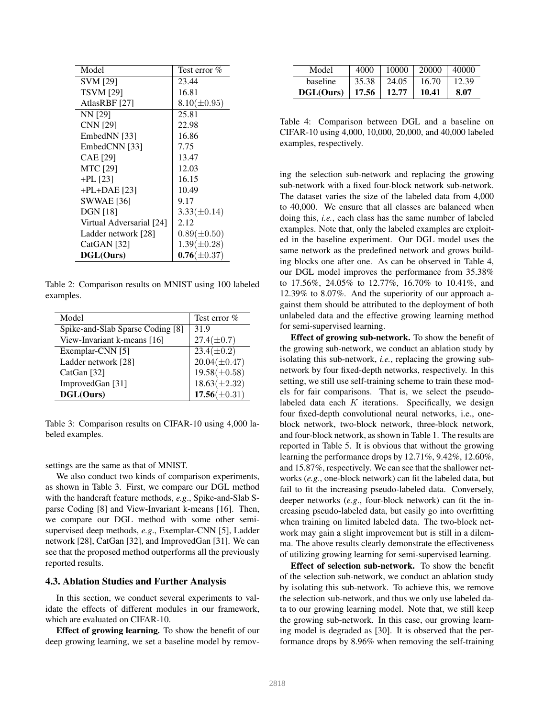| Model                    | Test error $\%$  |
|--------------------------|------------------|
| <b>SVM [29]</b>          | 23.44            |
| TSVM [29]                | 16.81            |
| AtlasRBF [27]            | $8.10(\pm 0.95)$ |
| NN [29]                  | 25.81            |
| <b>CNN</b> [29]          | 22.98            |
| EmbedNN [33]             | 16.86            |
| EmbedCNN [33]            | 7.75             |
| <b>CAE</b> [29]          | 13.47            |
| <b>MTC</b> [29]          | 12.03            |
| $+PL$ [23]               | 16.15            |
| +PL+DAE [23]             | 10.49            |
| SWWAE [36]               | 9.17             |
| <b>DGN</b> [18]          | $3.33(\pm 0.14)$ |
| Virtual Adversarial [24] | 2.12             |
| Ladder network [28]      | $0.89(\pm 0.50)$ |
| CatGAN <sup>[32]</sup>   | $1.39(\pm 0.28)$ |
| DGL(Ours)                | $0.76(\pm 0.37)$ |

Table 2: Comparison results on MNIST using 100 labeled examples.

| Model                            | Test error $\%$   |
|----------------------------------|-------------------|
| Spike-and-Slab Sparse Coding [8] | 31.9              |
| View-Invariant k-means [16]      | $27.4(\pm 0.7)$   |
| Exemplar-CNN [5]                 | $23.4(\pm 0.2)$   |
| Ladder network [28]              | $20.04(\pm 0.47)$ |
| CatGan $[32]$                    | $19.58(\pm 0.58)$ |
| ImprovedGan [31]                 | $18.63(\pm 2.32)$ |
| DGL(Ours)                        | $17.56(\pm 0.31)$ |

Table 3: Comparison results on CIFAR-10 using 4,000 labeled examples.

settings are the same as that of MNIST.

We also conduct two kinds of comparison experiments, as shown in Table 3. First, we compare our DGL method with the handcraft feature methods, *e.g*., Spike-and-Slab Sparse Coding [8] and View-Invariant k-means [16]. Then, we compare our DGL method with some other semisupervised deep methods, *e.g*., Exemplar-CNN [5], Ladder network [28], CatGan [32], and ImprovedGan [31]. We can see that the proposed method outperforms all the previously reported results.

#### 4.3. Ablation Studies and Further Analysis

In this section, we conduct several experiments to validate the effects of different modules in our framework, which are evaluated on CIFAR-10.

Effect of growing learning. To show the benefit of our deep growing learning, we set a baseline model by remov-

| Model     | 4000  | 10000 | 20000 | 40000 |
|-----------|-------|-------|-------|-------|
| baseline  | 35.38 | 24.05 | 16.70 | 12.39 |
| DGL(Ours) | 17.56 | 12.77 | 10.41 | 8.07  |

Table 4: Comparison between DGL and a baseline on CIFAR-10 using 4,000, 10,000, 20,000, and 40,000 labeled examples, respectively.

ing the selection sub-network and replacing the growing sub-network with a fixed four-block network sub-network. The dataset varies the size of the labeled data from 4,000 to 40,000. We ensure that all classes are balanced when doing this, *i.e.*, each class has the same number of labeled examples. Note that, only the labeled examples are exploited in the baseline experiment. Our DGL model uses the same network as the predefined network and grows building blocks one after one. As can be observed in Table 4, our DGL model improves the performance from 35.38% to 17.56%, 24.05% to 12.77%, 16.70% to 10.41%, and 12.39% to 8.07%. And the superiority of our approach against them should be attributed to the deployment of both unlabeled data and the effective growing learning method for semi-supervised learning.

Effect of growing sub-network. To show the benefit of the growing sub-network, we conduct an ablation study by isolating this sub-network, *i.e.*, replacing the growing subnetwork by four fixed-depth networks, respectively. In this setting, we still use self-training scheme to train these models for fair comparisons. That is, we select the pseudolabeled data each  $K$  iterations. Specifically, we design four fixed-depth convolutional neural networks, i.e., oneblock network, two-block network, three-block network, and four-block network, as shown in Table 1. The results are reported in Table 5. It is obvious that without the growing learning the performance drops by 12.71%, 9.42%, 12.60%, and 15.87%, respectively. We can see that the shallower networks (*e.g*., one-block network) can fit the labeled data, but fail to fit the increasing pseudo-labeled data. Conversely, deeper networks (*e.g*., four-block network) can fit the increasing pseudo-labeled data, but easily go into overfitting when training on limited labeled data. The two-block network may gain a slight improvement but is still in a dilemma. The above results clearly demonstrate the effectiveness of utilizing growing learning for semi-supervised learning.

Effect of selection sub-network. To show the benefit of the selection sub-network, we conduct an ablation study by isolating this sub-network. To achieve this, we remove the selection sub-network, and thus we only use labeled data to our growing learning model. Note that, we still keep the growing sub-network. In this case, our growing learning model is degraded as [30]. It is observed that the performance drops by 8.96% when removing the self-training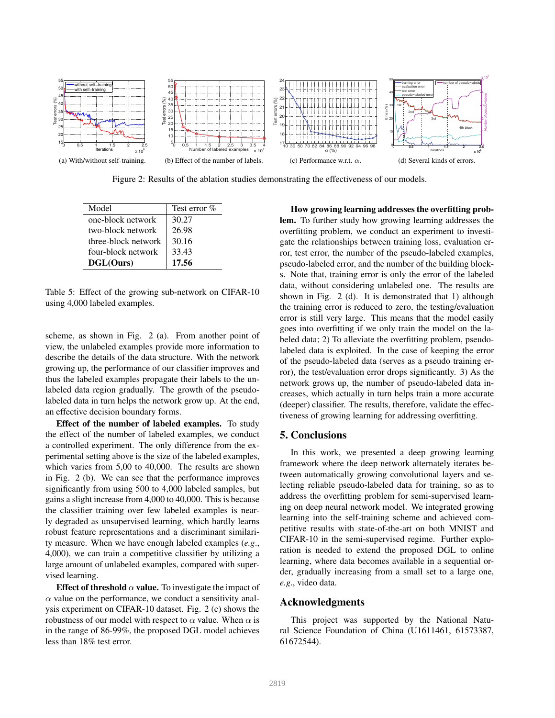

Figure 2: Results of the ablation studies demonstrating the effectiveness of our models.

| Model               | Test error $\%$ |
|---------------------|-----------------|
| one-block network   | 30.27           |
| two-block network   | 26.98           |
| three-block network | 30.16           |
| four-block network  | 33.43           |
| DGL(Ours)           | 17.56           |

Table 5: Effect of the growing sub-network on CIFAR-10 using 4,000 labeled examples.

scheme, as shown in Fig. 2 (a). From another point of view, the unlabeled examples provide more information to describe the details of the data structure. With the network growing up, the performance of our classifier improves and thus the labeled examples propagate their labels to the unlabeled data region gradually. The growth of the pseudolabeled data in turn helps the network grow up. At the end, an effective decision boundary forms.

Effect of the number of labeled examples. To study the effect of the number of labeled examples, we conduct a controlled experiment. The only difference from the experimental setting above is the size of the labeled examples, which varies from 5,00 to 40,000. The results are shown in Fig. 2 (b). We can see that the performance improves significantly from using 500 to 4,000 labeled samples, but gains a slight increase from 4,000 to 40,000. This is because the classifier training over few labeled examples is nearly degraded as unsupervised learning, which hardly learns robust feature representations and a discriminant similarity measure. When we have enough labeled examples (*e.g*., 4,000), we can train a competitive classifier by utilizing a large amount of unlabeled examples, compared with supervised learning.

Effect of threshold  $\alpha$  value. To investigate the impact of  $\alpha$  value on the performance, we conduct a sensitivity analysis experiment on CIFAR-10 dataset. Fig. 2 (c) shows the robustness of our model with respect to  $\alpha$  value. When  $\alpha$  is in the range of 86-99%, the proposed DGL model achieves less than 18% test error.

How growing learning addresses the overfitting problem. To further study how growing learning addresses the overfitting problem, we conduct an experiment to investigate the relationships between training loss, evaluation error, test error, the number of the pseudo-labeled examples, pseudo-labeled error, and the number of the building blocks. Note that, training error is only the error of the labeled data, without considering unlabeled one. The results are shown in Fig. 2 (d). It is demonstrated that 1) although the training error is reduced to zero, the testing/evaluation error is still very large. This means that the model easily goes into overfitting if we only train the model on the labeled data; 2) To alleviate the overfitting problem, pseudolabeled data is exploited. In the case of keeping the error of the pseudo-labeled data (serves as a pseudo training error), the test/evaluation error drops significantly. 3) As the network grows up, the number of pseudo-labeled data increases, which actually in turn helps train a more accurate (deeper) classifier. The results, therefore, validate the effectiveness of growing learning for addressing overfitting.

### 5. Conclusions

In this work, we presented a deep growing learning framework where the deep network alternately iterates between automatically growing convolutional layers and selecting reliable pseudo-labeled data for training, so as to address the overfitting problem for semi-supervised learning on deep neural network model. We integrated growing learning into the self-training scheme and achieved competitive results with state-of-the-art on both MNIST and CIFAR-10 in the semi-supervised regime. Further exploration is needed to extend the proposed DGL to online learning, where data becomes available in a sequential order, gradually increasing from a small set to a large one, *e.g*., video data.

### Acknowledgments

This project was supported by the National Natural Science Foundation of China (U1611461, 61573387, 61672544).